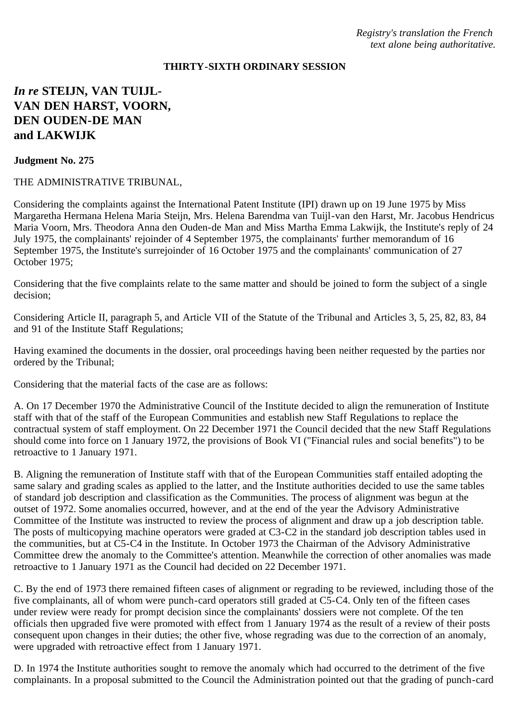*Registry's translation the French text alone being authoritative.*

## **THIRTY-SIXTH ORDINARY SESSION**

# *In re* **STEIJN, VAN TUIJL-VAN DEN HARST, VOORN, DEN OUDEN-DE MAN and LAKWIJK**

#### **Judgment No. 275**

### THE ADMINISTRATIVE TRIBUNAL,

Considering the complaints against the International Patent Institute (IPI) drawn up on 19 June 1975 by Miss Margaretha Hermana Helena Maria Steijn, Mrs. Helena Barendma van Tuijl-van den Harst, Mr. Jacobus Hendricus Maria Voorn, Mrs. Theodora Anna den Ouden-de Man and Miss Martha Emma Lakwijk, the Institute's reply of 24 July 1975, the complainants' rejoinder of 4 September 1975, the complainants' further memorandum of 16 September 1975, the Institute's surrejoinder of 16 October 1975 and the complainants' communication of 27 October 1975;

Considering that the five complaints relate to the same matter and should be joined to form the subject of a single decision;

Considering Article II, paragraph 5, and Article VII of the Statute of the Tribunal and Articles 3, 5, 25, 82, 83, 84 and 91 of the Institute Staff Regulations;

Having examined the documents in the dossier, oral proceedings having been neither requested by the parties nor ordered by the Tribunal;

Considering that the material facts of the case are as follows:

A. On 17 December 1970 the Administrative Council of the Institute decided to align the remuneration of Institute staff with that of the staff of the European Communities and establish new Staff Regulations to replace the contractual system of staff employment. On 22 December 1971 the Council decided that the new Staff Regulations should come into force on 1 January 1972, the provisions of Book VI ("Financial rules and social benefits") to be retroactive to 1 January 1971.

B. Aligning the remuneration of Institute staff with that of the European Communities staff entailed adopting the same salary and grading scales as applied to the latter, and the Institute authorities decided to use the same tables of standard job description and classification as the Communities. The process of alignment was begun at the outset of 1972. Some anomalies occurred, however, and at the end of the year the Advisory Administrative Committee of the Institute was instructed to review the process of alignment and draw up a job description table. The posts of multicopying machine operators were graded at C3-C2 in the standard job description tables used in the communities, but at C5-C4 in the Institute. In October 1973 the Chairman of the Advisory Administrative Committee drew the anomaly to the Committee's attention. Meanwhile the correction of other anomalies was made retroactive to 1 January 1971 as the Council had decided on 22 December 1971.

C. By the end of 1973 there remained fifteen cases of alignment or regrading to be reviewed, including those of the five complainants, all of whom were punch-card operators still graded at C5-C4. Only ten of the fifteen cases under review were ready for prompt decision since the complainants' dossiers were not complete. Of the ten officials then upgraded five were promoted with effect from 1 January 1974 as the result of a review of their posts consequent upon changes in their duties; the other five, whose regrading was due to the correction of an anomaly, were upgraded with retroactive effect from 1 January 1971.

D. In 1974 the Institute authorities sought to remove the anomaly which had occurred to the detriment of the five complainants. In a proposal submitted to the Council the Administration pointed out that the grading of punch-card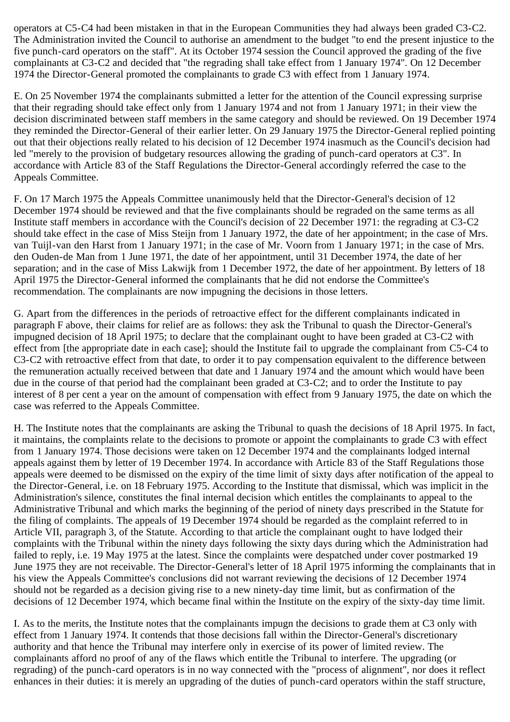operators at C5-C4 had been mistaken in that in the European Communities they had always been graded C3-C2. The Administration invited the Council to authorise an amendment to the budget "to end the present injustice to the five punch-card operators on the staff". At its October 1974 session the Council approved the grading of the five complainants at C3-C2 and decided that "the regrading shall take effect from 1 January 1974". On 12 December 1974 the Director-General promoted the complainants to grade C3 with effect from 1 January 1974.

E. On 25 November 1974 the complainants submitted a letter for the attention of the Council expressing surprise that their regrading should take effect only from 1 January 1974 and not from 1 January 1971; in their view the decision discriminated between staff members in the same category and should be reviewed. On 19 December 1974 they reminded the Director-General of their earlier letter. On 29 January 1975 the Director-General replied pointing out that their objections really related to his decision of 12 December 1974 inasmuch as the Council's decision had led "merely to the provision of budgetary resources allowing the grading of punch-card operators at C3". In accordance with Article 83 of the Staff Regulations the Director-General accordingly referred the case to the Appeals Committee.

F. On 17 March 1975 the Appeals Committee unanimously held that the Director-General's decision of 12 December 1974 should be reviewed and that the five complainants should be regraded on the same terms as all Institute staff members in accordance with the Council's decision of 22 December 1971: the regrading at C3-C2 should take effect in the case of Miss Steijn from 1 January 1972, the date of her appointment; in the case of Mrs. van Tuijl-van den Harst from 1 January 1971; in the case of Mr. Voorn from 1 January 1971; in the case of Mrs. den Ouden-de Man from 1 June 1971, the date of her appointment, until 31 December 1974, the date of her separation; and in the case of Miss Lakwijk from 1 December 1972, the date of her appointment. By letters of 18 April 1975 the Director-General informed the complainants that he did not endorse the Committee's recommendation. The complainants are now impugning the decisions in those letters.

G. Apart from the differences in the periods of retroactive effect for the different complainants indicated in paragraph F above, their claims for relief are as follows: they ask the Tribunal to quash the Director-General's impugned decision of 18 April 1975; to declare that the complainant ought to have been graded at C3-C2 with effect from [the appropriate date in each case]; should the Institute fail to upgrade the complainant from C5-C4 to C3-C2 with retroactive effect from that date, to order it to pay compensation equivalent to the difference between the remuneration actually received between that date and 1 January 1974 and the amount which would have been due in the course of that period had the complainant been graded at C3-C2; and to order the Institute to pay interest of 8 per cent a year on the amount of compensation with effect from 9 January 1975, the date on which the case was referred to the Appeals Committee.

H. The Institute notes that the complainants are asking the Tribunal to quash the decisions of 18 April 1975. In fact, it maintains, the complaints relate to the decisions to promote or appoint the complainants to grade C3 with effect from 1 January 1974. Those decisions were taken on 12 December 1974 and the complainants lodged internal appeals against them by letter of 19 December 1974. In accordance with Article 83 of the Staff Regulations those appeals were deemed to be dismissed on the expiry of the time limit of sixty days after notification of the appeal to the Director-General, i.e. on 18 February 1975. According to the Institute that dismissal, which was implicit in the Administration's silence, constitutes the final internal decision which entitles the complainants to appeal to the Administrative Tribunal and which marks the beginning of the period of ninety days prescribed in the Statute for the filing of complaints. The appeals of 19 December 1974 should be regarded as the complaint referred to in Article VII, paragraph 3, of the Statute. According to that article the complainant ought to have lodged their complaints with the Tribunal within the ninety days following the sixty days during which the Administration had failed to reply, i.e. 19 May 1975 at the latest. Since the complaints were despatched under cover postmarked 19 June 1975 they are not receivable. The Director-General's letter of 18 April 1975 informing the complainants that in his view the Appeals Committee's conclusions did not warrant reviewing the decisions of 12 December 1974 should not be regarded as a decision giving rise to a new ninety-day time limit, but as confirmation of the decisions of 12 December 1974, which became final within the Institute on the expiry of the sixty-day time limit.

I. As to the merits, the Institute notes that the complainants impugn the decisions to grade them at C3 only with effect from 1 January 1974. It contends that those decisions fall within the Director-General's discretionary authority and that hence the Tribunal may interfere only in exercise of its power of limited review. The complainants afford no proof of any of the flaws which entitle the Tribunal to interfere. The upgrading (or regrading) of the punch-card operators is in no way connected with the "process of alignment", nor does it reflect enhances in their duties: it is merely an upgrading of the duties of punch-card operators within the staff structure,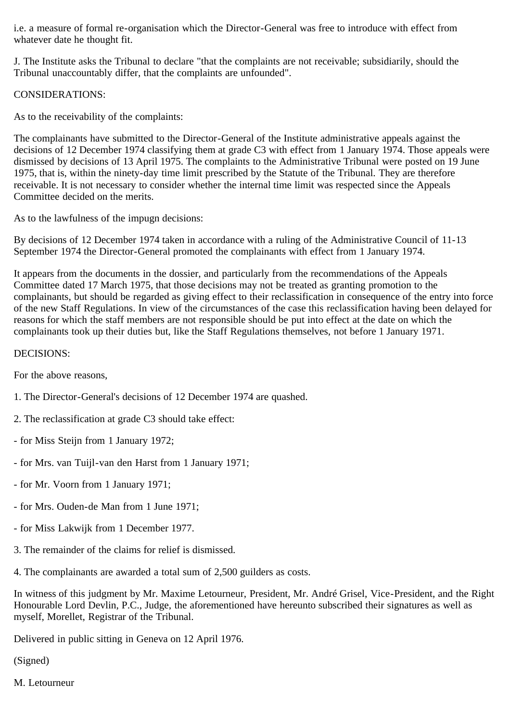i.e. a measure of formal re-organisation which the Director-General was free to introduce with effect from whatever date he thought fit.

J. The Institute asks the Tribunal to declare "that the complaints are not receivable; subsidiarily, should the Tribunal unaccountably differ, that the complaints are unfounded".

CONSIDERATIONS:

As to the receivability of the complaints:

The complainants have submitted to the Director-General of the Institute administrative appeals against the decisions of 12 December 1974 classifying them at grade C3 with effect from 1 January 1974. Those appeals were dismissed by decisions of 13 April 1975. The complaints to the Administrative Tribunal were posted on 19 June 1975, that is, within the ninety-day time limit prescribed by the Statute of the Tribunal. They are therefore receivable. It is not necessary to consider whether the internal time limit was respected since the Appeals Committee decided on the merits.

As to the lawfulness of the impugn decisions:

By decisions of 12 December 1974 taken in accordance with a ruling of the Administrative Council of 11-13 September 1974 the Director-General promoted the complainants with effect from 1 January 1974.

It appears from the documents in the dossier, and particularly from the recommendations of the Appeals Committee dated 17 March 1975, that those decisions may not be treated as granting promotion to the complainants, but should be regarded as giving effect to their reclassification in consequence of the entry into force of the new Staff Regulations. In view of the circumstances of the case this reclassification having been delayed for reasons for which the staff members are not responsible should be put into effect at the date on which the complainants took up their duties but, like the Staff Regulations themselves, not before 1 January 1971.

## DECISIONS:

For the above reasons,

- 1. The Director-General's decisions of 12 December 1974 are quashed.
- 2. The reclassification at grade C3 should take effect:
- for Miss Steijn from 1 January 1972;
- for Mrs. van Tuijl-van den Harst from 1 January 1971;
- for Mr. Voorn from 1 January 1971;
- for Mrs. Ouden-de Man from 1 June 1971;
- for Miss Lakwijk from 1 December 1977.
- 3. The remainder of the claims for relief is dismissed.
- 4. The complainants are awarded a total sum of 2,500 guilders as costs.

In witness of this judgment by Mr. Maxime Letourneur, President, Mr. André Grisel, Vice-President, and the Right Honourable Lord Devlin, P.C., Judge, the aforementioned have hereunto subscribed their signatures as well as myself, Morellet, Registrar of the Tribunal.

Delivered in public sitting in Geneva on 12 April 1976.

(Signed)

M. Letourneur